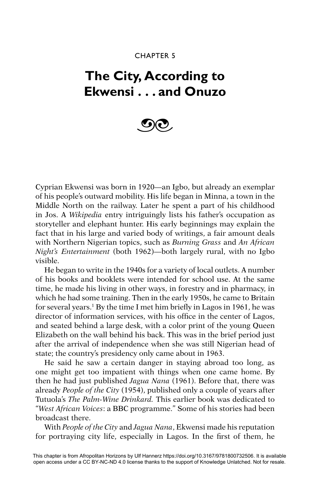## CHAPTER 5

## **The City, According to Ekwensi . . . and Onuzo**



Cyprian Ekwensi was born in 1920—an Igbo, but already an exemplar of his people's outward mobility. His life began in Minna, a town in the Middle North on the railway. Later he spent a part of his childhood in Jos. A *Wikipedia* entry intriguingly lists his father's occupation as storyteller and elephant hunter. His early beginnings may explain the fact that in his large and varied body of writings, a fair amount deals with Northern Nigerian topics, such as *Burning Grass* and *An African Night's Entertainment* (both 1962)—both largely rural, with no Igbo visible.

He began to write in the 1940s for a variety of local outlets. A number of his books and booklets were intended for school use. At the same time, he made his living in other ways, in forestry and in pharmacy, in which he had some training. Then in the early 1950s, he came to Britain for several years.<sup>1</sup> By the time I met him briefly in Lagos in 1961, he was director of information services, with his office in the center of Lagos, and seated behind a large desk, with a color print of the young Queen Elizabeth on the wall behind his back. This was in the brief period just after the arrival of independence when she was still Nigerian head of state; the country's presidency only came about in 1963.

He said he saw a certain danger in staying abroad too long, as one might get too impatient with things when one came home. By then he had just published *Jagua Nana* (1961). Before that, there was already *People of the City* (1954), published only a couple of years after Tutuola's *The Palm-Wine Drinkard.* This earlier book was dedicated to "*West African Voices*: a BBC programme." Some of his stories had been broadcast there.

With *People of the City* and *Jagua Nana*, Ekwensi made his reputation for portraying city life, especially in Lagos. In the first of them, he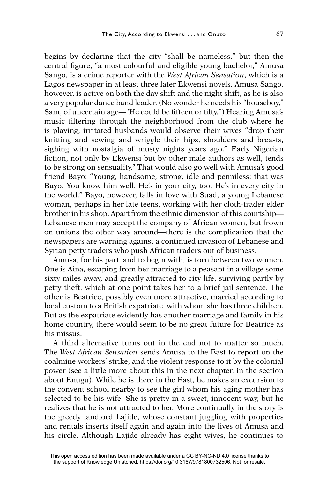begins by declaring that the city "shall be nameless," but then the central figure, "a most colourful and eligible young bachelor," Amusa Sango, is a crime reporter with the *West African Sensation*, which is a Lagos newspaper in at least three later Ekwensi novels. Amusa Sango, however, is active on both the day shift and the night shift, as he is also a very popular dance band leader. (No wonder he needs his "houseboy," Sam, of uncertain age—"He could be fifteen or fifty.") Hearing Amusa's music filtering through the neighborhood from the club where he is playing, irritated husbands would observe their wives "drop their knitting and sewing and wriggle their hips, shoulders and breasts, sighing with nostalgia of musty nights years ago." Early Nigerian fiction, not only by Ekwensi but by other male authors as well, tends to be strong on sensuality.2 That would also go well with Amusa's good friend Bayo: "Young, handsome, strong, idle and penniless: that was Bayo. You know him well. He's in your city, too. He's in every city in the world." Bayo, however, falls in love with Suad, a young Lebanese woman, perhaps in her late teens, working with her cloth-trader elder brother in his shop. Apart from the ethnic dimension of this courtship— Lebanese men may accept the company of African women, but frown on unions the other way around—there is the complication that the newspapers are warning against a continued invasion of Lebanese and Syrian petty traders who push African traders out of business.

Amusa, for his part, and to begin with, is torn between two women. One is Aina, escaping from her marriage to a peasant in a village some sixty miles away, and greatly attracted to city life, surviving partly by petty theft, which at one point takes her to a brief jail sentence. The other is Beatrice, possibly even more attractive, married according to local custom to a British expatriate, with whom she has three children. But as the expatriate evidently has another marriage and family in his home country, there would seem to be no great future for Beatrice as his missus.

A third alternative turns out in the end not to matter so much. The *West African Sensation* sends Amusa to the East to report on the coalmine workers' strike, and the violent response to it by the colonial power (see a little more about this in the next chapter, in the section about Enugu). While he is there in the East, he makes an excursion to the convent school nearby to see the girl whom his aging mother has selected to be his wife. She is pretty in a sweet, innocent way, but he realizes that he is not attracted to her. More continually in the story is the greedy landlord Lajide, whose constant juggling with properties and rentals inserts itself again and again into the lives of Amusa and his circle. Although Lajide already has eight wives, he continues to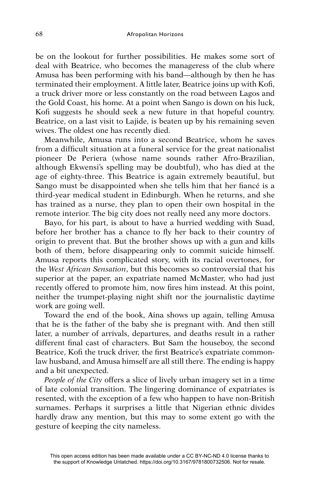be on the lookout for further possibilities. He makes some sort of deal with Beatrice, who becomes the manageress of the club where Amusa has been performing with his band—although by then he has terminated their employment. A little later, Beatrice joins up with Kofi, a truck driver more or less constantly on the road between Lagos and the Gold Coast, his home. At a point when Sango is down on his luck, Kofi suggests he should seek a new future in that hopeful country. Beatrice, on a last visit to Lajide, is beaten up by his remaining seven wives. The oldest one has recently died.

Meanwhile, Amusa runs into a second Beatrice, whom he saves from a difficult situation at a funeral service for the great nationalist pioneer De Periera (whose name sounds rather Afro-Brazilian, although Ekwensi's spelling may be doubtful), who has died at the age of eighty-three. This Beatrice is again extremely beautiful, but Sango must be disappointed when she tells him that her fiancé is a third-year medical student in Edinburgh. When he returns, and she has trained as a nurse, they plan to open their own hospital in the remote interior. The big city does not really need any more doctors.

Bayo, for his part, is about to have a hurried wedding with Suad, before her brother has a chance to fly her back to their country of origin to prevent that. But the brother shows up with a gun and kills both of them, before disappearing only to commit suicide himself. Amusa reports this complicated story, with its racial overtones, for the *West African Sensation*, but this becomes so controversial that his superior at the paper, an expatriate named McMaster, who had just recently offered to promote him, now fires him instead. At this point, neither the trumpet-playing night shift nor the journalistic daytime work are going well.

Toward the end of the book, Aina shows up again, telling Amusa that he is the father of the baby she is pregnant with. And then still later, a number of arrivals, departures, and deaths result in a rather different final cast of characters. But Sam the houseboy, the second Beatrice, Kofi the truck driver, the first Beatrice's expatriate commonlaw husband, and Amusa himself are all still there. The ending is happy and a bit unexpected.

*People of the City* offers a slice of lively urban imagery set in a time of late colonial transition. The lingering dominance of expatriates is resented, with the exception of a few who happen to have non-British surnames. Perhaps it surprises a little that Nigerian ethnic divides hardly draw any mention, but this may to some extent go with the gesture of keeping the city nameless.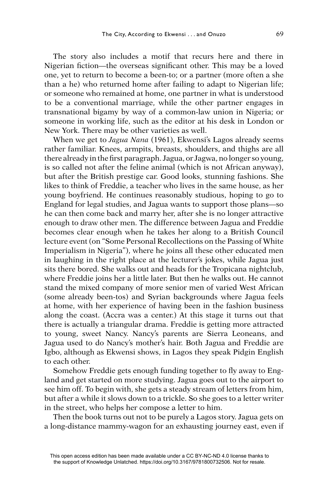The story also includes a motif that recurs here and there in Nigerian fiction—the overseas significant other. This may be a loved one, yet to return to become a been-to; or a partner (more often a she than a he) who returned home after failing to adapt to Nigerian life; or someone who remained at home, one partner in what is understood to be a conventional marriage, while the other partner engages in transnational bigamy by way of a common-law union in Nigeria; or someone in working life, such as the editor at his desk in London or New York. There may be other varieties as well.

When we get to *Jagua Nana* (1961), Ekwensi's Lagos already seems rather familiar. Knees, armpits, breasts, shoulders, and thighs are all there already in the first paragraph. Jagua, or Jagwa, no longer so young, is so called not after the feline animal (which is not African anyway), but after the British prestige car. Good looks, stunning fashions. She likes to think of Freddie, a teacher who lives in the same house, as her young boyfriend. He continues reasonably studious, hoping to go to England for legal studies, and Jagua wants to support those plans—so he can then come back and marry her, after she is no longer attractive enough to draw other men. The difference between Jagua and Freddie becomes clear enough when he takes her along to a British Council lecture event (on "Some Personal Recollections on the Passing of White Imperialism in Nigeria"), where he joins all these other educated men in laughing in the right place at the lecturer's jokes, while Jagua just sits there bored. She walks out and heads for the Tropicana nightclub, where Freddie joins her a little later. But then he walks out. He cannot stand the mixed company of more senior men of varied West African (some already been-tos) and Syrian backgrounds where Jagua feels at home, with her experience of having been in the fashion business along the coast. (Accra was a center.) At this stage it turns out that there is actually a triangular drama. Freddie is getting more attracted to young, sweet Nancy. Nancy's parents are Sierra Leoneans, and Jagua used to do Nancy's mother's hair. Both Jagua and Freddie are Igbo, although as Ekwensi shows, in Lagos they speak Pidgin English to each other.

Somehow Freddie gets enough funding together to fly away to England and get started on more studying. Jagua goes out to the airport to see him off. To begin with, she gets a steady stream of letters from him, but after a while it slows down to a trickle. So she goes to a letter writer in the street, who helps her compose a letter to him.

Then the book turns out not to be purely a Lagos story. Jagua gets on a long-distance mammy-wagon for an exhausting journey east, even if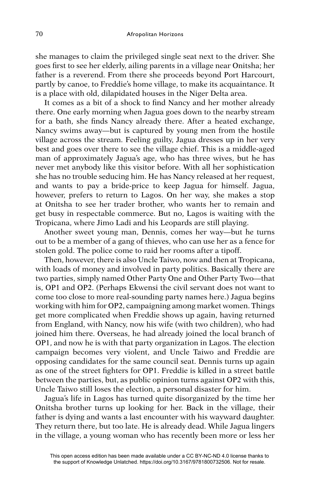she manages to claim the privileged single seat next to the driver. She goes first to see her elderly, ailing parents in a village near Onitsha; her father is a reverend. From there she proceeds beyond Port Harcourt, partly by canoe, to Freddie's home village, to make its acquaintance. It is a place with old, dilapidated houses in the Niger Delta area.

It comes as a bit of a shock to find Nancy and her mother already there. One early morning when Jagua goes down to the nearby stream for a bath, she finds Nancy already there. After a heated exchange, Nancy swims away—but is captured by young men from the hostile village across the stream. Feeling guilty, Jagua dresses up in her very best and goes over there to see the village chief. This is a middle-aged man of approximately Jagua's age, who has three wives, but he has never met anybody like this visitor before. With all her sophistication she has no trouble seducing him. He has Nancy released at her request, and wants to pay a bride-price to keep Jagua for himself. Jagua, however, prefers to return to Lagos. On her way, she makes a stop at Onitsha to see her trader brother, who wants her to remain and get busy in respectable commerce. But no, Lagos is waiting with the Tropicana, where Jimo Ladi and his Leopards are still playing.

Another sweet young man, Dennis, comes her way—but he turns out to be a member of a gang of thieves, who can use her as a fence for stolen gold. The police come to raid her rooms after a tipoff.

Then, however, there is also Uncle Taiwo, now and then at Tropicana, with loads of money and involved in party politics. Basically there are two parties, simply named Other Party One and Other Party Two—that is, OP1 and OP2. (Perhaps Ekwensi the civil servant does not want to come too close to more real-sounding party names here.) Jagua begins working with him for OP2, campaigning among market women. Things get more complicated when Freddie shows up again, having returned from England, with Nancy, now his wife (with two children), who had joined him there. Overseas, he had already joined the local branch of OP1, and now he is with that party organization in Lagos. The election campaign becomes very violent, and Uncle Taiwo and Freddie are opposing candidates for the same council seat. Dennis turns up again as one of the street fighters for OP1. Freddie is killed in a street battle between the parties, but, as public opinion turns against OP2 with this, Uncle Taiwo still loses the election, a personal disaster for him.

Jagua's life in Lagos has turned quite disorganized by the time her Onitsha brother turns up looking for her. Back in the village, their father is dying and wants a last encounter with his wayward daughter. They return there, but too late. He is already dead. While Jagua lingers in the village, a young woman who has recently been more or less her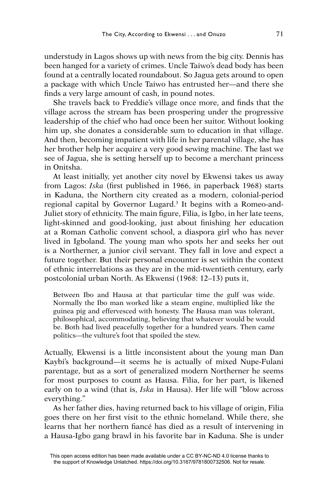understudy in Lagos shows up with news from the big city. Dennis has been hanged for a variety of crimes. Uncle Taiwo's dead body has been found at a centrally located roundabout. So Jagua gets around to open a package with which Uncle Taiwo has entrusted her—and there she finds a very large amount of cash, in pound notes.

She travels back to Freddie's village once more, and finds that the village across the stream has been prospering under the progressive leadership of the chief who had once been her suitor. Without looking him up, she donates a considerable sum to education in that village. And then, becoming impatient with life in her parental village, she has her brother help her acquire a very good sewing machine. The last we see of Jagua, she is setting herself up to become a merchant princess in Onitsha.

At least initially, yet another city novel by Ekwensi takes us away from Lagos: *Iska* (first published in 1966, in paperback 1968) starts in Kaduna, the Northern city created as a modern, colonial-period regional capital by Governor Lugard.3 It begins with a Romeo-and-Juliet story of ethnicity. The main figure, Filia, is Igbo, in her late teens, light-skinned and good-looking, just about finishing her education at a Roman Catholic convent school, a diaspora girl who has never lived in Igboland. The young man who spots her and seeks her out is a Northerner, a junior civil servant. They fall in love and expect a future together. But their personal encounter is set within the context of ethnic interrelations as they are in the mid-twentieth century, early postcolonial urban North. As Ekwensi (1968: 12–13) puts it,

Between Ibo and Hausa at that particular time the gulf was wide. Normally the Ibo man worked like a steam engine, multiplied like the guinea pig and effervesced with honesty. The Hausa man was tolerant, philosophical, accommodating, believing that whatever would be would be. Both had lived peacefully together for a hundred years. Then came politics—the vulture's foot that spoiled the stew.

Actually, Ekwensi is a little inconsistent about the young man Dan Kaybi's background—it seems he is actually of mixed Nupe-Fulani parentage, but as a sort of generalized modern Northerner he seems for most purposes to count as Hausa. Filia, for her part, is likened early on to a wind (that is, *Iska* in Hausa). Her life will "blow across everything."

As her father dies, having returned back to his village of origin, Filia goes there on her first visit to the ethnic homeland. While there, she learns that her northern fiancé has died as a result of intervening in a Hausa-Igbo gang brawl in his favorite bar in Kaduna. She is under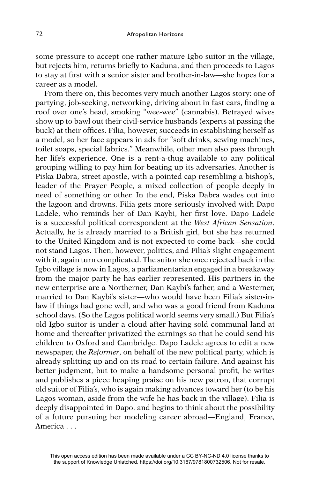some pressure to accept one rather mature Igbo suitor in the village, but rejects him, returns briefly to Kaduna, and then proceeds to Lagos to stay at first with a senior sister and brother-in-law—she hopes for a career as a model.

From there on, this becomes very much another Lagos story: one of partying, job-seeking, networking, driving about in fast cars, finding a roof over one's head, smoking "wee-wee" (cannabis). Betrayed wives show up to bawl out their civil-service husbands (experts at passing the buck) at their offices. Filia, however, succeeds in establishing herself as a model, so her face appears in ads for "soft drinks, sewing machines, toilet soaps, special fabrics." Meanwhile, other men also pass through her life's experience. One is a rent-a-thug available to any political grouping willing to pay him for beating up its adversaries. Another is Piska Dabra, street apostle, with a pointed cap resembling a bishop's, leader of the Prayer People, a mixed collection of people deeply in need of something or other. In the end, Piska Dabra wades out into the lagoon and drowns. Filia gets more seriously involved with Dapo Ladele, who reminds her of Dan Kaybi, her first love. Dapo Ladele is a successful political correspondent at the *West African Sensation*. Actually, he is already married to a British girl, but she has returned to the United Kingdom and is not expected to come back—she could not stand Lagos. Then, however, politics, and Filia's slight engagement with it, again turn complicated. The suitor she once rejected back in the Igbo village is now in Lagos, a parliamentarian engaged in a breakaway from the major party he has earlier represented. His partners in the new enterprise are a Northerner, Dan Kaybi's father, and a Westerner, married to Dan Kaybi's sister—who would have been Filia's sister-inlaw if things had gone well, and who was a good friend from Kaduna school days. (So the Lagos political world seems very small.) But Filia's old Igbo suitor is under a cloud after having sold communal land at home and thereafter privatized the earnings so that he could send his children to Oxford and Cambridge. Dapo Ladele agrees to edit a new newspaper, the *Reformer*, on behalf of the new political party, which is already splitting up and on its road to certain failure. And against his better judgment, but to make a handsome personal profit, he writes and publishes a piece heaping praise on his new patron, that corrupt old suitor of Filia's, who is again making advances toward her (to be his Lagos woman, aside from the wife he has back in the village). Filia is deeply disappointed in Dapo, and begins to think about the possibility of a future pursuing her modeling career abroad—England, France, America . . .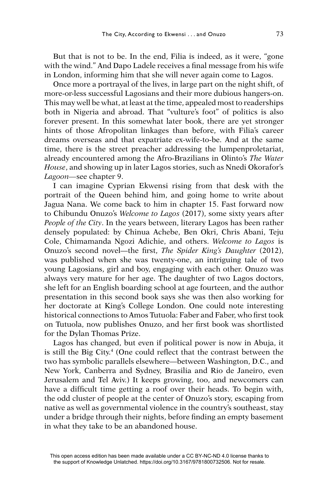But that is not to be. In the end, Filia is indeed, as it were, "gone with the wind." And Dapo Ladele receives a final message from his wife in London, informing him that she will never again come to Lagos.

Once more a portrayal of the lives, in large part on the night shift, of more-or-less successful Lagosians and their more dubious hangers-on. This may well be what, at least at the time, appealed most to readerships both in Nigeria and abroad. That "vulture's foot" of politics is also forever present. In this somewhat later book, there are yet stronger hints of those Afropolitan linkages than before, with Filia's career dreams overseas and that expatriate ex-wife-to-be. And at the same time, there is the street preacher addressing the lumpenproletariat, already encountered among the Afro-Brazilians in Olinto's *The Water House*, and showing up in later Lagos stories, such as Nnedi Okorafor's *Lagoon—*see chapter 9.

I can imagine Cyprian Ekwensi rising from that desk with the portrait of the Queen behind him, and going home to write about Jagua Nana. We come back to him in chapter 15. Fast forward now to Chibundu Onuzo's *Welcome to Lagos* (2017), some sixty years after *People of the City*. In the years between, literary Lagos has been rather densely populated: by Chinua Achebe, Ben Okri, Chris Abani, Teju Cole, Chimamanda Ngozi Adichie, and others. *Welcome to Lagos* is Onuzo's second novel—the first, *The Spider King's Daughter* (2012), was published when she was twenty-one, an intriguing tale of two young Lagosians, girl and boy, engaging with each other. Onuzo was always very mature for her age. The daughter of two Lagos doctors, she left for an English boarding school at age fourteen, and the author presentation in this second book says she was then also working for her doctorate at King's College London. One could note interesting historical connections to Amos Tutuola: Faber and Faber, who first took on Tutuola, now publishes Onuzo, and her first book was shortlisted for the Dylan Thomas Prize.

Lagos has changed, but even if political power is now in Abuja, it is still the Big City.<sup>4</sup> (One could reflect that the contrast between the two has symbolic parallels elsewhere—between Washington, D.C., and New York, Canberra and Sydney, Brasilia and Rio de Janeiro, even Jerusalem and Tel Aviv.) It keeps growing, too, and newcomers can have a difficult time getting a roof over their heads. To begin with, the odd cluster of people at the center of Onuzo's story, escaping from native as well as governmental violence in the country's southeast, stay under a bridge through their nights, before finding an empty basement in what they take to be an abandoned house.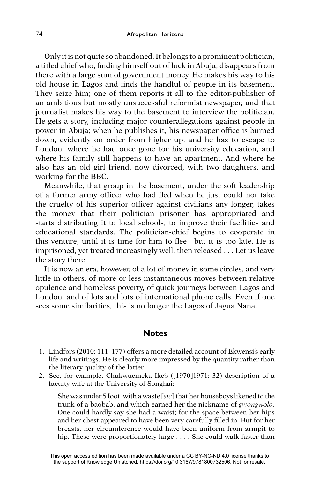Only it is not quite so abandoned. It belongs to a prominent politician, a titled chief who, finding himself out of luck in Abuja, disappears from there with a large sum of government money. He makes his way to his old house in Lagos and finds the handful of people in its basement. They seize him; one of them reports it all to the editor-publisher of an ambitious but mostly unsuccessful reformist newspaper, and that journalist makes his way to the basement to interview the politician. He gets a story, including major counterallegations against people in power in Abuja; when he publishes it, his newspaper office is burned down, evidently on order from higher up, and he has to escape to London, where he had once gone for his university education, and where his family still happens to have an apartment. And where he also has an old girl friend, now divorced, with two daughters, and working for the BBC.

Meanwhile, that group in the basement, under the soft leadership of a former army officer who had fled when he just could not take the cruelty of his superior officer against civilians any longer, takes the money that their politician prisoner has appropriated and starts distributing it to local schools, to improve their facilities and educational standards. The politician-chief begins to cooperate in this venture, until it is time for him to flee—but it is too late. He is imprisoned, yet treated increasingly well, then released . . . Let us leave the story there.

It is now an era, however, of a lot of money in some circles, and very little in others, of more or less instantaneous moves between relative opulence and homeless poverty, of quick journeys between Lagos and London, and of lots and lots of international phone calls. Even if one sees some similarities, this is no longer the Lagos of Jagua Nana.

## **Notes**

- 1. Lindfors (2010: 111–177) offers a more detailed account of Ekwensi's early life and writings. He is clearly more impressed by the quantity rather than the literary quality of the latter.
- 2. See, for example, Chukwuemeka Ike's ([1970]1971: 32) description of a faculty wife at the University of Songhai:

She was under 5 foot, with a waste [*sic*] that her houseboys likened to the trunk of a baobab, and which earned her the nickname of *gwongwolo.*  One could hardly say she had a waist; for the space between her hips and her chest appeared to have been very carefully filled in. But for her breasts, her circumference would have been uniform from armpit to hip. These were proportionately large . . . . She could walk faster than